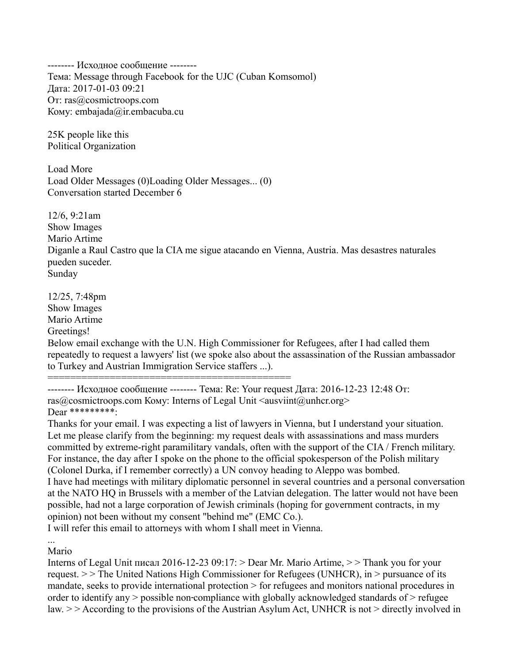-------- Исходное сообщение -------- Тема: Message through Facebook for the UJC (Cuban Komsomol) Дата: 2017-01-03 09:21 От: ras@cosmictroops.com Кому: embajada@ir.embacuba.cu

25K people like this Political Organization

Load More Load Older Messages (0)Loading Older Messages... (0) Conversation started December 6

12/6, 9:21am Show Images Mario Artime Diganle a Raul Castro que la CIA me sigue atacando en Vienna, Austria. Mas desastres naturales pueden suceder. Sunday

12/25, 7:48pm Show Images Mario Artime Greetings!

Below email exchange with the U.N. High Commissioner for Refugees, after I had called them repeatedly to request a lawyers' list (we spoke also about the assassination of the Russian ambassador to Turkey and Austrian Immigration Service staffers ...).

===========================================

-------- Исходное сообщение -------- Тема: Re: Your request Дата: 2016-12-23 12:48 От: ras@cosmictroops.com Komy: Interns of Legal Unit <ausviint@unhcr.org> Dear \*\*\*\*\*\*\*\*\*\*\*

Thanks for your email. I was expecting a list of lawyers in Vienna, but I understand your situation. Let me please clarify from the beginning: my request deals with assassinations and mass murders committed by extreme-right paramilitary vandals, often with the support of the CIA / French military. For instance, the day after I spoke on the phone to the official spokesperson of the Polish military (Colonel Durka, if I remember correctly) a UN convoy heading to Aleppo was bombed. I have had meetings with military diplomatic personnel in several countries and a personal conversation at the NATO HQ in Brussels with a member of the Latvian delegation. The latter would not have been possible, had not a large corporation of Jewish criminals (hoping for government contracts, in my opinion) not been without my consent "behind me" (EMC Co.).

I will refer this email to attorneys with whom I shall meet in Vienna.

... Mario

Interns of Legal Unit писал 2016-12-23 09:17: > Dear Mr. Mario Artime, > > Thank you for your request. > > The United Nations High Commissioner for Refugees (UNHCR), in > pursuance of its mandate, seeks to provide international protection > for refugees and monitors national procedures in order to identify any  $>$  possible non-compliance with globally acknowledged standards of  $>$  refugee law. > > According to the provisions of the Austrian Asylum Act, UNHCR is not > directly involved in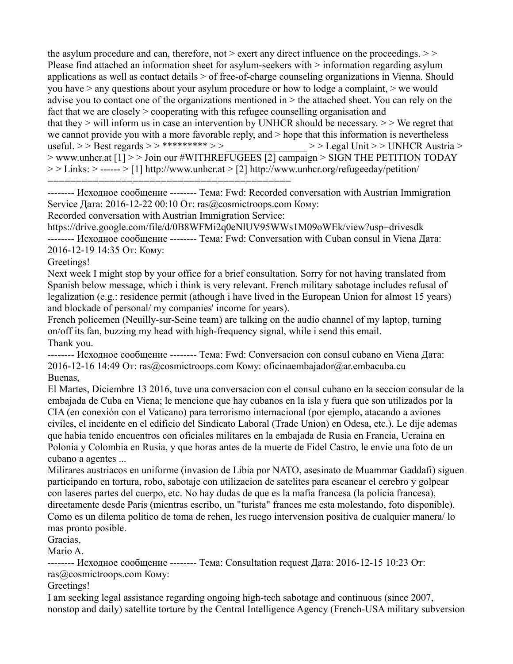the asylum procedure and can, therefore, not  $>$  exert any direct influence on the proceedings.  $>$ Please find attached an information sheet for asylum-seekers with  $>$  information regarding asylum applications as well as contact details > of free-of-charge counseling organizations in Vienna. Should you have  $>$  any questions about your asylum procedure or how to lodge a complaint,  $>$  we would advise you to contact one of the organizations mentioned in > the attached sheet. You can rely on the fact that we are closely  $>$  cooperating with this refugee counselling organisation and that they  $>$  will inform us in case an intervention by UNHCR should be necessary.  $>$  We regret that we cannot provide you with a more favorable reply, and  $>$  hope that this information is nevertheless useful. >> Best regards >> \*\*\*\*\*\*\*\* >> > > Legal Unit >> UNHCR Austria > > www.unhcr.at [1] > > Join our #WITHREFUGEES [2] campaign > SIGN THE PETITION TODAY  $>>$  Links:  $>>$  ----- $>>$  [1] http://www.unhcr.at  $>>$  [2] http://www.unhcr.org/refugeeday/petition/ ===========================================

-------- Исходное сообщение -------- Тема: Fwd: Recorded conversation with Austrian Immigration Service Дата: 2016-12-22 00:10 От: ras@cosmictroops.com Кому:

Recorded conversation with Austrian Immigration Service:

https://drive.google.com/file/d/0B8WFMi2q0eNlUV95WWs1M09oWEk/view?usp=drivesdk -------- Исходное сообщение -------- Тема: Fwd: Conversation with Cuban consul in Viena Дата: 2016-12-19 14:35 От: Кому:

Greetings!

Next week I might stop by your office for a brief consultation. Sorry for not having translated from Spanish below message, which i think is very relevant. French military sabotage includes refusal of legalization (e.g.: residence permit (athough i have lived in the European Union for almost 15 years) and blockade of personal/ my companies' income for years).

French policemen (Neuilly-sur-Seine team) are talking on the audio channel of my laptop, turning on/off its fan, buzzing my head with high-frequency signal, while i send this email. Thank you.

-------- Исходное сообщение -------- Тема: Fwd: Conversacion con consul cubano en Viena Дата: 2016-12-16 14:49 От: ras@cosmictroops.com Кому: oficinaembajador@ar.embacuba.cu Buenas,

El Martes, Diciembre 13 2016, tuve una conversacion con el consul cubano en la seccion consular de la embajada de Cuba en Viena; le mencione que hay cubanos en la isla y fuera que son utilizados por la CIA (en conexión con el Vaticano) para terrorismo internacional (por ejemplo, atacando a aviones civiles, el incidente en el edificio del Sindicato Laboral (Trade Union) en Odesa, etc.). Le dije ademas que habia tenido encuentros con oficiales militares en la embajada de Rusia en Francia, Ucraina en Polonia y Colombia en Rusia, y que horas antes de la muerte de Fidel Castro, le envie una foto de un cubano a agentes ...

Milirares austriacos en uniforme (invasion de Libia por NATO, asesinato de Muammar Gaddafi) siguen participando en tortura, robo, sabotaje con utilizacion de satelites para escanear el cerebro y golpear con laseres partes del cuerpo, etc. No hay dudas de que es la mafia francesa (la policia francesa), directamente desde Paris (mientras escribo, un "turista" frances me esta molestando, foto disponible). Como es un dilema politico de toma de rehen, les ruego intervension positiva de cualquier manera/ lo mas pronto posible.

Gracias,

Mario A.

-------- Исходное сообщение -------- Тема: Consultation request Дата: 2016-12-15 10:23 От: ras@cosmictroops.com Кому:

Greetings!

I am seeking legal assistance regarding ongoing high-tech sabotage and continuous (since 2007, nonstop and daily) satellite torture by the Central Intelligence Agency (French-USA military subversion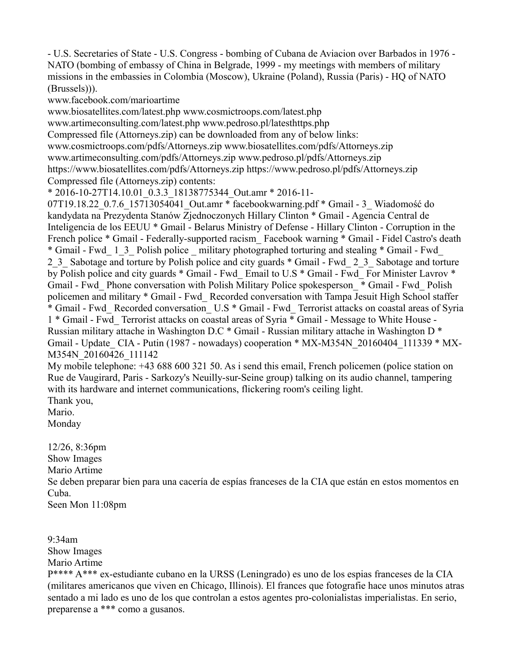- U.S. Secretaries of State - U.S. Congress - bombing of Cubana de Aviacion over Barbados in 1976 - NATO (bombing of embassy of China in Belgrade, 1999 - my meetings with members of military missions in the embassies in Colombia (Moscow), Ukraine (Poland), Russia (Paris) - HQ of NATO (Brussels))).

www.facebook.com/marioartime

www.biosatellites.com/latest.php www.cosmictroops.com/latest.php

www.artimeconsulting.com/latest.php www.pedroso.pl/latesthttps.php

Compressed file (Attorneys.zip) can be downloaded from any of below links:

www.cosmictroops.com/pdfs/Attorneys.zip www.biosatellites.com/pdfs/Attorneys.zip

www.artimeconsulting.com/pdfs/Attorneys.zip www.pedroso.pl/pdfs/Attorneys.zip

https://www.biosatellites.com/pdfs/Attorneys.zip https://www.pedroso.pl/pdfs/Attorneys.zip Compressed file (Attorneys.zip) contents:

\* 2016-10-27T14.10.01\_0.3.3\_18138775344\_Out.amr \* 2016-11-

07T19.18.22 0.7.6 15713054041 Out.amr \* facebookwarning.pdf \* Gmail - 3 Wiadomość do kandydata na Prezydenta Stanów Zjednoczonych Hillary Clinton \* Gmail - Agencia Central de Inteligencia de los EEUU \* Gmail - Belarus Ministry of Defense - Hillary Clinton - Corruption in the French police \* Gmail - Federally-supported racism Facebook warning \* Gmail - Fidel Castro's death \* Gmail - Fwd\_ 1\_3\_ Polish police \_ military photographed torturing and stealing \* Gmail - Fwd\_ 2.3 Sabotage and torture by Polish police and city guards \* Gmail - Fwd. 2.3 Sabotage and torture by Polish police and city guards \* Gmail - Fwd Email to U.S \* Gmail - Fwd For Minister Lavrov \* Gmail - Fwd\_ Phone conversation with Polish Military Police spokesperson\_ \* Gmail - Fwd\_ Polish policemen and military \* Gmail - Fwd Recorded conversation with Tampa Jesuit High School staffer \* Gmail - Fwd\_ Recorded conversation\_ U.S \* Gmail - Fwd\_ Terrorist attacks on coastal areas of Syria 1 \* Gmail - Fwd\_ Terrorist attacks on coastal areas of Syria \* Gmail - Message to White House - Russian military attache in Washington D.C \* Gmail - Russian military attache in Washington D \* Gmail - Update\_ CIA - Putin (1987 - nowadays) cooperation \* MX-M354N\_20160404\_111339 \* MX-M354N\_20160426\_111142

My mobile telephone: +43 688 600 321 50. As i send this email, French policemen (police station on Rue de Vaugirard, Paris - Sarkozy's Neuilly-sur-Seine group) talking on its audio channel, tampering with its hardware and internet communications, flickering room's ceiling light. Thank you,

Mario.

Monday

12/26, 8:36pm Show Images Mario Artime Se deben preparar bien para una cacería de espías franceses de la CIA que están en estos momentos en Cuba. Seen Mon 11:08pm

9:34am Show Images Mario Artime

P\*\*\*\* A\*\*\* ex-estudiante cubano en la URSS (Leningrado) es uno de los espias franceses de la CIA (militares americanos que viven en Chicago, Illinois). El frances que fotografie hace unos minutos atras sentado a mi lado es uno de los que controlan a estos agentes pro-colonialistas imperialistas. En serio, preparense a \*\*\* como a gusanos.